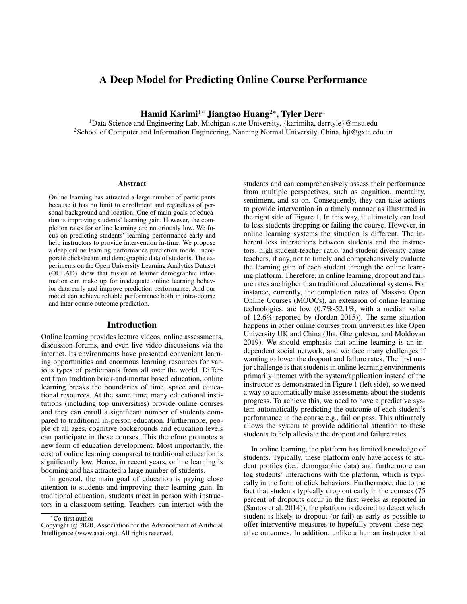# A Deep Model for Predicting Online Course Performance

Hamid Karimi<sup>1</sup>\* Jiangtao Huang<sup>2</sup>\*, Tyler Derr<sup>1</sup>

<sup>1</sup>Data Science and Engineering Lab, Michigan state University, {karimiha, derrtyle}@msu.edu <sup>2</sup>School of Computer and Information Engineering, Nanning Normal University, China, hjt@gxtc.edu.cn

### Abstract

Online learning has attracted a large number of participants because it has no limit to enrollment and regardless of personal background and location. One of main goals of education is improving students' learning gain. However, the completion rates for online learning are notoriously low. We focus on predicting students' learning performance early and help instructors to provide intervention in-time. We propose a deep online learning performance prediction model incorporate clickstream and demographic data of students. The experiments on the Open University Learning Analytics Dataset (OULAD) show that fusion of learner demographic information can make up for inadequate online learning behavior data early and improve prediction performance. And our model can achieve reliable performance both in intra-course and inter-course outcome prediction.

### Introduction

Online learning provides lecture videos, online assessments, discussion forums, and even live video discussions via the internet. Its environments have presented convenient learning opportunities and enormous learning resources for various types of participants from all over the world. Different from tradition brick-and-mortar based education, online learning breaks the boundaries of time, space and educational resources. At the same time, many educational institutions (including top universities) provide online courses and they can enroll a significant number of students compared to traditional in-person education. Furthermore, people of all ages, cognitive backgrounds and education levels can participate in these courses. This therefore promotes a new form of education development. Most importantly, the cost of online learning compared to traditional education is significantly low. Hence, in recent years, online learning is booming and has attracted a large number of students.

In general, the main goal of education is paying close attention to students and improving their learning gain. In traditional education, students meet in person with instructors in a classroom setting. Teachers can interact with the

students and can comprehensively assess their performance from multiple perspectives, such as cognition, mentality, sentiment, and so on. Consequently, they can take actions to provide intervention in a timely manner as illustrated in the right side of Figure 1. In this way, it ultimately can lead to less students dropping or failing the course. However, in online learning systems the situation is different. The inherent less interactions between students and the instructors, high student-teacher ratio, and student diversity cause teachers, if any, not to timely and comprehensively evaluate the learning gain of each student through the online learning platform. Therefore, in online learning, dropout and failure rates are higher than traditional educational systems. For instance, currently, the completion rates of Massive Open Online Courses (MOOCs), an extension of online learning technologies, are low (0.7%-52.1%, with a median value of 12.6% reported by (Jordan 2015)). The same situation happens in other online courses from universities like Open University UK and China (Jha, Ghergulescu, and Moldovan 2019). We should emphasis that online learning is an independent social network, and we face many challenges if wanting to lower the dropout and failure rates. The first major challenge is that students in online learning environments primarily interact with the system/application instead of the instructor as demonstrated in Figure 1 (left side), so we need a way to automatically make assessments about the students progress. To achieve this, we need to have a predictive system automatically predicting the outcome of each student's performance in the course e.g., fail or pass. This ultimately allows the system to provide additional attention to these students to help alleviate the dropout and failure rates.

In online learning, the platform has limited knowledge of students. Typically, these platform only have access to student profiles (i.e., demographic data) and furthermore can log students' interactions with the platform, which is typically in the form of click behaviors. Furthermore, due to the fact that students typically drop out early in the courses (75 percent of dropouts occur in the first weeks as reported in (Santos et al. 2014)), the platform is desired to detect which student is likely to dropout (or fail) as early as possible to offer interventive measures to hopefully prevent these negative outcomes. In addition, unlike a human instructor that

<sup>∗</sup>Co-first author

Copyright (c) 2020, Association for the Advancement of Artificial Intelligence (www.aaai.org). All rights reserved.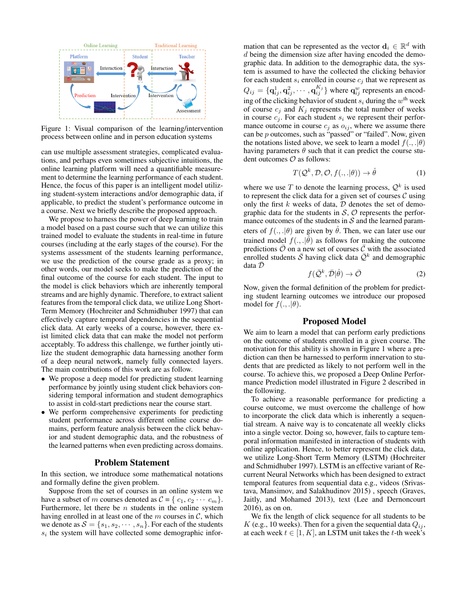

Figure 1: Visual comparison of the learning/intervention process between online and in person education systems

can use multiple assessment strategies, complicated evaluations, and perhaps even sometimes subjective intuitions, the online learning platform will need a quantifiable measurement to determine the learning performance of each student. Hence, the focus of this paper is an intelligent model utilizing student-system interactions and/or demographic data, if applicable, to predict the student's performance outcome in a course. Next we briefly describe the proposed approach.

We propose to harness the power of deep learning to train a model based on a past course such that we can utilize this trained model to evaluate the students in real-time in future courses (including at the early stages of the course). For the systems assessment of the students learning performance, we use the prediction of the course grade as a proxy; in other words, our model seeks to make the prediction of the final outcome of the course for each student. The input to the model is click behaviors which are inherently temporal streams and are highly dynamic. Therefore, to extract salient features from the temporal click data, we utilize Long Short-Term Memory (Hochreiter and Schmidhuber 1997) that can effectively capture temporal dependencies in the sequential click data. At early weeks of a course, however, there exist limited click data that can make the model not perform acceptably. To address this challenge, we further jointly utilize the student demographic data harnessing another form of a deep neural network, namely fully connected layers. The main contributions of this work are as follow.

- We propose a deep model for predicting student learning performance by jointly using student click behaviors considering temporal information and student demographics to assist in cold-start predictions near the course start.
- We perform comprehensive experiments for predicting student performance across different online course domains, perform feature analysis between the click behavior and student demographic data, and the robustness of the learned patterns when even predicting across domains.

### Problem Statement

In this section, we introduce some mathematical notations and formally define the given problem.

Suppose from the set of courses in an online system we have a subset of m courses denoted as  $C = \{c_1, c_2 \cdots c_m\}.$ Furthermore, let there be  $n$  students in the online system having enrolled in at least one of the  $m$  courses in  $\mathcal{C}$ , which we denote as  $S = \{s_1, s_2, \dots, s_n\}$ . For each of the students  $s_i$  the system will have collected some demographic infor-

mation that can be represented as the vector  $\mathbf{d}_i \in \mathbb{R}^d$  with d being the dimension size after having encoded the demographic data. In addition to the demographic data, the system is assumed to have the collected the clicking behavior for each student  $s_i$  enrolled in course  $c_j$  that we represent as  $Q_{ij} = \{ \mathbf{q}_{ij}^1, \mathbf{q}_{ij}^2, \cdots, \mathbf{q}_{ij}^{K_j} \}$  where  $\mathbf{q}_{ij}^w$  represents an encoding of the clicking behavior of student  $s_i$  during the  $w^{\text{th}}$  week of course  $c_j$  and  $K_j$  represents the total number of weeks in course  $c_j$ . For each student  $s_i$  we represent their performance outcome in course  $c_j$  as  $o_{ij}$ , where we assume there can be p outcomes, such as "passed" or "failed". Now, given the notations listed above, we seek to learn a model  $f(., .|\theta)$ having parameters  $\theta$  such that it can predict the course student outcomes  $\mathcal O$  as follows:

$$
T(Q^k, \mathcal{D}, \mathcal{O}, f(., . | \theta)) \to \hat{\theta}
$$
 (1)

where we use T to denote the learning process,  $\mathcal{Q}^k$  is used to represent the click data for a given set of courses  $C$  using only the first  $k$  weeks of data,  $D$  denotes the set of demographic data for the students in  $S$ ,  $O$  represents the performance outcomes of the students in  $S$  and the learned parameters of  $f(., .|\theta)$  are given by  $\theta$ . Then, we can later use our trained model  $f(., .|\hat{\theta})$  as follows for making the outcome predictions  $\overline{\mathcal{O}}$  on a new set of courses  $\overline{\mathcal{C}}$  with the associated enrolled students  $\overline{S}$  having click data  $\overline{Q}^k$  and demographic data  $\overline{\mathcal{D}}$ 

$$
f(\bar{\mathcal{Q}}^k, \bar{\mathcal{D}}|\hat{\theta}) \to \bar{\mathcal{O}} \tag{2}
$$

Now, given the formal definition of the problem for predicting student learning outcomes we introduce our proposed model for  $f(., .|\theta)$ .

### Proposed Model

We aim to learn a model that can perform early predictions on the outcome of students enrolled in a given course. The motivation for this ability is shown in Figure 1 where a prediction can then be harnessed to perform innervation to students that are predicted as likely to not perform well in the course. To achieve this, we proposed a Deep Online Performance Prediction model illustrated in Figure 2 described in the following.

To achieve a reasonable performance for predicting a course outcome, we must overcome the challenge of how to incorporate the click data which is inherently a sequential stream. A naive way is to concatenate all weekly clicks into a single vector. Doing so, however, fails to capture temporal information manifested in interaction of students with online application. Hence, to better represent the click data, we utilize Long-Short Term Memory (LSTM) (Hochreiter and Schmidhuber 1997). LSTM is an effective variant of Recurrent Neural Networks which has been designed to extract temporal features from sequential data e.g., videos (Srivastava, Mansimov, and Salakhudinov 2015) , speech (Graves, Jaitly, and Mohamed 2013), text (Lee and Dernoncourt 2016), as on on.

We fix the length of click sequence for all students to be K (e.g., 10 weeks). Then for a given the sequential data  $Q_{ij}$ , at each week  $t \in [1, K]$ , an LSTM unit takes the t-th week's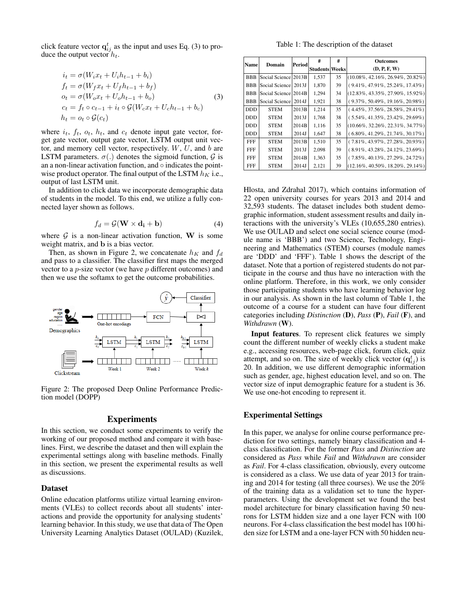click feature vector  $q_{ij}^t$  as the input and uses Eq. (3) to produce the output vector  $h_t$ .

$$
\begin{aligned}\ni_t &= \sigma(W_i x_t + U_i h_{t-1} + b_i) \\
f_t &= \sigma(W_f x_t + U_f h_{t-1} + b_f) \\
o_t &= \sigma(W_o x_t + U_o h_{t-1} + b_o) \\
c_t &= f_t \circ c_{t-1} + i_t \circ \mathcal{G}(W_c x_t + U_c h_{t-1} + b_c) \\
h_t &= o_t \circ \mathcal{G}(c_t)\n\end{aligned} \tag{3}
$$

where  $i_t$ ,  $f_t$ ,  $o_t$ ,  $h_t$ , and  $c_t$  denote input gate vector, forget gate vector, output gate vector, LSTM output unit vector, and memory cell vector, respectively.  $W, U$ , and  $b$  are LSTM parameters.  $\sigma(.)$  denotes the sigmoid function, G is an a non-linear activation function, and  $\circ$  indicates the pointwise product operator. The final output of the LSTM  $h_K$  i.e., output of last LSTM unit.

In addition to click data we incorporate demographic data of students in the model. To this end, we utilize a fully connected layer shown as follows.

$$
f_d = \mathcal{G}(\mathbf{W} \times \mathbf{d_i} + \mathbf{b}) \tag{4}
$$

where  $G$  is a non-linear activation function, W is some weight matrix, and b is a bias vector.

Then, as shown in Figure 2, we concatenate  $h<sub>K</sub>$  and  $f<sub>d</sub>$ and pass to a classifier. The classifier first maps the merged vector to a p-size vector (we have p different outcomes) and then we use the softamx to get the outcome probabilities.



Figure 2: The proposed Deep Online Performance Prediction model (DOPP)

# Experiments

In this section, we conduct some experiments to verify the working of our proposed method and compare it with baselines. First, we describe the dataset and then will explain the experimental settings along with baseline methods. Finally in this section, we present the experimental results as well as discussions.

#### Dataset

Online education platforms utilize virtual learning environments (VLEs) to collect records about all students' interactions and provide the opportunity for analysing students' learning behavior. In this study, we use that data of The Open University Learning Analytics Dataset (OULAD) (Kuzilek,

Table 1: The description of the dataset

| Name       | Domain               | Period | #                     | #  | <b>Outcomes</b>                          |
|------------|----------------------|--------|-----------------------|----|------------------------------------------|
|            |                      |        | <b>Students Weeks</b> |    | (D, P, F, W)                             |
| <b>BBB</b> | Social Science 2013B |        | 1,537                 | 35 | $ (10.08\%, 42.16\%, 26.94\%, 20.82\%) $ |
| <b>BBB</b> | Social Science 2013J |        | 1.870                 | 39 | $(9.41\%, 47.91\%, 25.24\%, 17.43\%)$    |
| <b>BBB</b> | Social Science 2014B |        | 1.294                 | 34 | $(12.83\%, 43.35\%, 27.90\%, 15.92\%)$   |
| <b>BBB</b> | Social Science       | 2014J  | 1,921                 | 38 | $(9.37\%, 50.49\%, 19.16\%, 20.98\%)$    |
| <b>DDD</b> | <b>STEM</b>          | 2013B  | 1,214                 | 35 | $(4.45\%, 37.56\%, 28.58\%, 29.41\%)$    |
| <b>DDD</b> | <b>STEM</b>          | 2013J  | 1,768                 | 38 | $(5.54\%, 41.35\%, 23.42\%, 29.69\%)$    |
| <b>DDD</b> | <b>STEM</b>          | 2014B  | 1,116                 | 35 | $(10.66\%, 32.26\%, 22.31\%, 34.77\%)$   |
| <b>DDD</b> | <b>STEM</b>          | 2014J  | 1.647                 | 38 | $(6.80\%, 41.29\%, 21.74\%, 30.17\%)$    |
| <b>FFF</b> | <b>STEM</b>          | 2013B  | 1.510                 | 35 | $(7.81\%, 43.97\%, 27.28\%, 20.93\%)$    |
| <b>FFF</b> | <b>STEM</b>          | 2013J  | 2.098                 | 39 | $(8.91\%, 43.28\%, 24.12\%, 23.69\%)$    |
| <b>FFF</b> | <b>STEM</b>          | 2014B  | 1,363                 | 35 | $(7.85\%, 40.13\%, 27.29\%, 24.72\%)$    |
| FFF        | STEM                 | 2014J  | 2,121                 | 39 | $(12.16\%, 40.50\%, 18.20\%, 29.14\%)$   |

Hlosta, and Zdrahal 2017), which contains information of 22 open university courses for years 2013 and 2014 and 32,593 students. The dataset includes both student demographic information, student assessment results and daily interactions with the university's VLEs (10,655,280 entries). We use OULAD and select one social science course (module name is 'BBB') and two Science, Technology, Engineering and Mathematics (STEM) courses (module names are 'DDD' and 'FFF'). Table 1 shows the descript of the dataset. Note that a portion of registered students do not participate in the course and thus have no interaction with the online platform. Therefore, in this work, we only consider those participating students who have learning behavior log in our analysis. As shown in the last column of Table 1, the outcome of a course for a student can have four different categories including *Distinction* (D), *Pass* (P), *Fail* (F), and *Withdrawn* (W).

Input features. To represent click features we simply count the different number of weekly clicks a student make e.g., accessing resources, web-page click, forum click, quiz attempt, and so on. The size of weekly click vector  $(q_{ij}^t)$  is 20. In addition, we use different demographic information such as gender, age, highest education level, and so on. The vector size of input demographic feature for a student is 36. We use one-hot encoding to represent it.

# Experimental Settings

In this paper, we analyse for online course performance prediction for two settings, namely binary classification and 4 class classification. For the former *Pass* and *Distinction* are considered as *Pass* while *Fail* and *Withdrawn* are consider as *Fail*. For 4-class classification, obviously, every outcome is considered as a class. We use data of year 2013 for training and 2014 for testing (all three courses). We use the 20% of the training data as a validation set to tune the hyperparameters. Using the development set we found the best model architecture for binary classification having 50 neurons for LSTM hidden size and a one layer FCN with 100 neurons. For 4-class classification the best model has 100 hiden size for LSTM and a one-layer FCN with 50 hidden neu-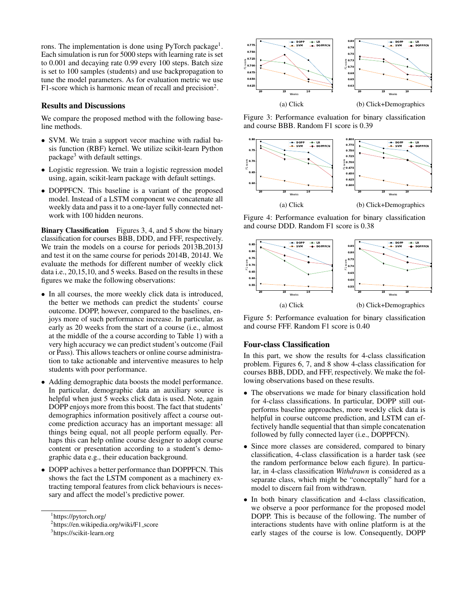rons. The implementation is done using PyTorch package<sup>1</sup>. Each simulation is run for 5000 steps with learning rate is set to 0.001 and decaying rate 0.99 every 100 steps. Batch size is set to 100 samples (students) and use backpropagation to tune the model parameters. As for evaluation metric we use F1-score which is harmonic mean of recall and precision<sup>2</sup>.

### Results and Discussions

We compare the proposed method with the following baseline methods.

- SVM. We train a support vecor machine with radial basis function (RBF) kernel. We utilize scikit-learn Python package<sup>3</sup> with default settings.
- Logistic regression. We train a logistic regression model using, again, scikit-learn package with default settings.
- DOPPFCN. This baseline is a variant of the proposed model. Instead of a LSTM component we concatenate all weekly data and pass it to a one-layer fully connected network with 100 hidden neurons.

Binary Classification Figures 3, 4, and 5 show the binary classification for courses BBB, DDD, and FFF, respectively. We train the models on a course for periods 2013B,2013J and test it on the same course for periods 2014B, 2014J. We evaluate the methods for different number of weekly click data i.e., 20,15,10, and 5 weeks. Based on the results in these figures we make the following observations:

- In all courses, the more weekly click data is introduced, the better we methods can predict the students' course outcome. DOPP, however, compared to the baselines, enjoys more of such performance increase. In particular, as early as 20 weeks from the start of a course (i.e., almost at the middle of the a course according to Table 1) with a very high accuracy we can predict student's outcome (Fail or Pass). This allows teachers or online course administration to take actionable and interventive measures to help students with poor performance.
- Adding demographic data boosts the model performance. In particular, demographic data an auxiliary source is helpful when just 5 weeks click data is used. Note, again DOPP enjoys more from this boost. The fact that students' demographics information positively affect a course outcome prediction accuracy has an important message: all things being equal, not all people perform equally. Perhaps this can help online course designer to adopt course content or presentation according to a student's demographic data e.g., their education background.
- DOPP achives a better performance than DOPPFCN. This shows the fact the LSTM component as a machinery extracting temporal features from click behaviours is necessary and affect the model's predictive power.



Figure 3: Performance evaluation for binary classification and course BBB. Random F1 score is 0.39



Figure 4: Performance evaluation for binary classification and course DDD. Random F1 score is 0.38



Figure 5: Performance evaluation for binary classification and course FFF. Random F1 score is 0.40

# Four-class Classification

In this part, we show the results for 4-class classification problem. Figures 6, 7, and 8 show 4-class classification for courses BBB, DDD, and FFF, respectively. We make the following observations based on these results.

- The observations we made for binary classification hold for 4-class classifications. In particular, DOPP still outperforms baseline approaches, more weekly click data is helpful in course outcome prediction, and LSTM can effectively handle sequential that than simple concatenation followed by fully connected layer (i.e., DOPPFCN).
- Since more classes are considered, compared to binary classification, 4-class classification is a harder task (see the random performance below each figure). In particular, in 4-class classification *Withdrawn* is considered as a separate class, which might be "conceptally" hard for a model to discern fail from withdrawn.
- In both binary classification and 4-class classification, we observe a poor performance for the proposed model DOPP. This is because of the following. The number of interactions students have with online platform is at the early stages of the course is low. Consequently, DOPP

<sup>1</sup> https://pytorch.org/

<sup>&</sup>lt;sup>2</sup>https://en.wikipedia.org/wiki/F1\_score

<sup>&</sup>lt;sup>3</sup>https://scikit-learn.org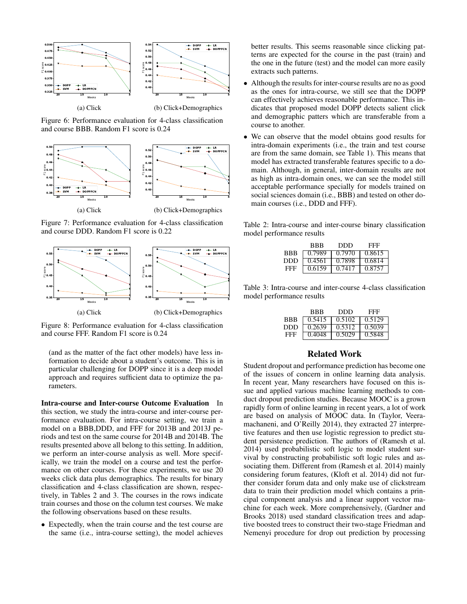

Figure 6: Performance evaluation for 4-class classification and course BBB. Random F1 score is 0.24



Figure 7: Performance evaluation for 4-class classification and course DDD. Random F1 score is 0.22



Figure 8: Performance evaluation for 4-class classification and course FFF. Random F1 score is 0.24

(and as the matter of the fact other models) have less information to decide about a student's outcome. This is in particular challenging for DOPP since it is a deep model approach and requires sufficient data to optimize the parameters.

Intra-course and Inter-course Outcome Evaluation In this section, we study the intra-course and inter-course performance evaluation. For intra-course setting, we train a model on a BBB,DDD, and FFF for 2013B and 2013J periods and test on the same course for 2014B and 2014B. The results presented above all belong to this setting. In addition, we perform an inter-course analysis as well. More specifically, we train the model on a course and test the performance on other courses. For these experiments, we use 20 weeks click data plus demographics. The results for binary classification and 4-class classification are shown, respectively, in Tables 2 and 3. The courses in the rows indicate train courses and those on the column test courses. We make the following observations based on these results.

• Expectedly, when the train course and the test course are the same (i.e., intra-course setting), the model achieves better results. This seems reasonable since clicking patterns are expected for the course in the past (train) and the one in the future (test) and the model can more easily extracts such patterns.

- Although the results for inter-course results are no as good as the ones for intra-course, we still see that the DOPP can effectively achieves reasonable performance. This indicates that proposed model DOPP detects salient click and demographic patters which are transferable from a course to another.
- We can observe that the model obtains good results for intra-domain experiments (i.e., the train and test course are from the same domain, see Table 1). This means that model has extracted transferable features specific to a domain. Although, in general, inter-domain results are not as high as intra-domain ones, we can see the model still acceptable performance specially for models trained on social sciences domain (i.e., BBB) and tested on other domain courses (i.e., DDD and FFF).

Table 2: Intra-course and inter-course binary classification model performance results

|            | BBB    | DDD    | FFF    |
|------------|--------|--------|--------|
| <b>BBB</b> | 0.7989 | 0.7970 | 0.8615 |
| DDD        | 0.4561 | 0.7898 | 0.6814 |
| FFF        | 0.6159 | 0.7417 | 0.8757 |

Table 3: Intra-course and inter-course 4-class classification model performance results

|            | BBB    | DDD    | FFF    |
|------------|--------|--------|--------|
| <b>BBB</b> | 0.5415 | 0.5102 | 0.5129 |
| DDD        | 0.2639 | 0.5312 | 0.5039 |
| FFF        | 0.4048 | 0.5029 | 0.5848 |

# Related Work

Student dropout and performance prediction has become one of the issues of concern in online learning data analysis. In recent year, Many researchers have focused on this issue and applied various machine learning methods to conduct dropout prediction studies. Because MOOC is a grown rapidly form of online learning in recent years, a lot of work are based on analysis of MOOC data. In (Taylor, Veeramachaneni, and O'Reilly 2014), they extracted 27 interpretive features and then use logistic regression to predict student persistence prediction. The authors of (Ramesh et al. 2014) used probabilistic soft logic to model student survival by constructing probabilistic soft logic rules and associating them. Different from (Ramesh et al. 2014) mainly considering forum features, (Kloft et al. 2014) did not further consider forum data and only make use of clickstream data to train their prediction model which contains a principal component analysis and a linear support vector machine for each week. More comprehensively, (Gardner and Brooks 2018) used standard classification trees and adaptive boosted trees to construct their two-stage Friedman and Nemenyi procedure for drop out prediction by processing